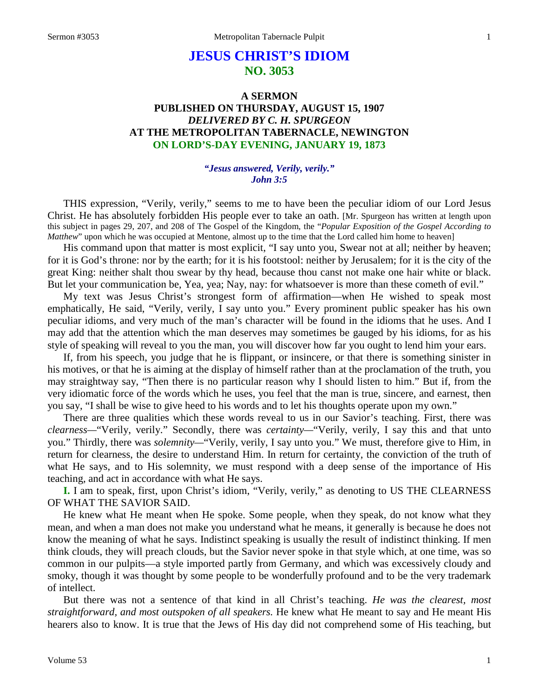# **JESUS CHRIST'S IDIOM NO. 3053**

# **A SERMON PUBLISHED ON THURSDAY, AUGUST 15, 1907** *DELIVERED BY C. H. SPURGEON* **AT THE METROPOLITAN TABERNACLE, NEWINGTON ON LORD'S-DAY EVENING, JANUARY 19, 1873**

#### *"Jesus answered, Verily, verily." John 3:5*

THIS expression, "Verily, verily," seems to me to have been the peculiar idiom of our Lord Jesus Christ. He has absolutely forbidden His people ever to take an oath. [Mr. Spurgeon has written at length upon this subject in pages 29, 207, and 208 of The Gospel of the Kingdom, the "*Popular Exposition of the Gospel According to Matthew*" upon which he was occupied at Mentone, almost up to the time that the Lord called him home to heaven]

His command upon that matter is most explicit, "I say unto you, Swear not at all; neither by heaven; for it is God's throne: nor by the earth; for it is his footstool: neither by Jerusalem; for it is the city of the great King: neither shalt thou swear by thy head, because thou canst not make one hair white or black. But let your communication be, Yea, yea; Nay, nay: for whatsoever is more than these cometh of evil."

My text was Jesus Christ's strongest form of affirmation—when He wished to speak most emphatically, He said, "Verily, verily, I say unto you." Every prominent public speaker has his own peculiar idioms, and very much of the man's character will be found in the idioms that he uses. And I may add that the attention which the man deserves may sometimes be gauged by his idioms, for as his style of speaking will reveal to you the man, you will discover how far you ought to lend him your ears.

If, from his speech, you judge that he is flippant, or insincere, or that there is something sinister in his motives, or that he is aiming at the display of himself rather than at the proclamation of the truth, you may straightway say, "Then there is no particular reason why I should listen to him." But if, from the very idiomatic force of the words which he uses, you feel that the man is true, sincere, and earnest, then you say, "I shall be wise to give heed to his words and to let his thoughts operate upon my own."

There are three qualities which these words reveal to us in our Savior's teaching. First, there was *clearness—*"Verily, verily." Secondly, there was *certainty—*"Verily, verily, I say this and that unto you." Thirdly, there was *solemnity—*"Verily, verily, I say unto you." We must, therefore give to Him, in return for clearness, the desire to understand Him. In return for certainty, the conviction of the truth of what He says, and to His solemnity, we must respond with a deep sense of the importance of His teaching, and act in accordance with what He says.

**I.** I am to speak, first, upon Christ's idiom, "Verily, verily," as denoting to US THE CLEARNESS OF WHAT THE SAVIOR SAID.

He knew what He meant when He spoke. Some people, when they speak, do not know what they mean, and when a man does not make you understand what he means, it generally is because he does not know the meaning of what he says. Indistinct speaking is usually the result of indistinct thinking. If men think clouds, they will preach clouds, but the Savior never spoke in that style which, at one time, was so common in our pulpits—a style imported partly from Germany, and which was excessively cloudy and smoky, though it was thought by some people to be wonderfully profound and to be the very trademark of intellect.

But there was not a sentence of that kind in all Christ's teaching. *He was the clearest, most straightforward, and most outspoken of all speakers.* He knew what He meant to say and He meant His hearers also to know. It is true that the Jews of His day did not comprehend some of His teaching, but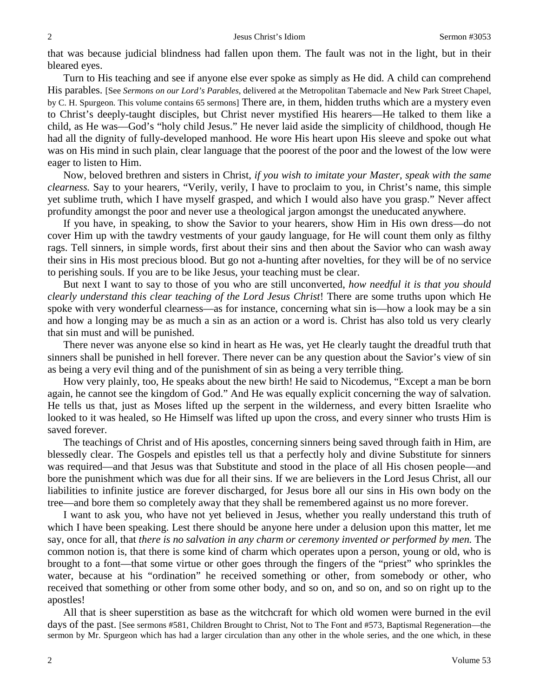that was because judicial blindness had fallen upon them. The fault was not in the light, but in their bleared eyes.

Turn to His teaching and see if anyone else ever spoke as simply as He did. A child can comprehend His parables. [See *Sermons on our Lord's Parables*, delivered at the Metropolitan Tabernacle and New Park Street Chapel, by C. H. Spurgeon. This volume contains 65 sermons] There are, in them, hidden truths which are a mystery even to Christ's deeply-taught disciples, but Christ never mystified His hearers—He talked to them like a child, as He was—God's "holy child Jesus." He never laid aside the simplicity of childhood, though He had all the dignity of fully-developed manhood. He wore His heart upon His sleeve and spoke out what was on His mind in such plain, clear language that the poorest of the poor and the lowest of the low were eager to listen to Him.

Now, beloved brethren and sisters in Christ, *if you wish to imitate your Master, speak with the same clearness.* Say to your hearers, "Verily, verily, I have to proclaim to you, in Christ's name, this simple yet sublime truth, which I have myself grasped, and which I would also have you grasp." Never affect profundity amongst the poor and never use a theological jargon amongst the uneducated anywhere.

If you have, in speaking, to show the Savior to your hearers, show Him in His own dress—do not cover Him up with the tawdry vestments of your gaudy language, for He will count them only as filthy rags. Tell sinners, in simple words, first about their sins and then about the Savior who can wash away their sins in His most precious blood. But go not a-hunting after novelties, for they will be of no service to perishing souls. If you are to be like Jesus, your teaching must be clear.

But next I want to say to those of you who are still unconverted, *how needful it is that you should clearly understand this clear teaching of the Lord Jesus Christ*! There are some truths upon which He spoke with very wonderful clearness—as for instance, concerning what sin is—how a look may be a sin and how a longing may be as much a sin as an action or a word is. Christ has also told us very clearly that sin must and will be punished.

There never was anyone else so kind in heart as He was, yet He clearly taught the dreadful truth that sinners shall be punished in hell forever. There never can be any question about the Savior's view of sin as being a very evil thing and of the punishment of sin as being a very terrible thing.

How very plainly, too, He speaks about the new birth! He said to Nicodemus, "Except a man be born again, he cannot see the kingdom of God." And He was equally explicit concerning the way of salvation. He tells us that, just as Moses lifted up the serpent in the wilderness, and every bitten Israelite who looked to it was healed, so He Himself was lifted up upon the cross, and every sinner who trusts Him is saved forever.

The teachings of Christ and of His apostles, concerning sinners being saved through faith in Him, are blessedly clear. The Gospels and epistles tell us that a perfectly holy and divine Substitute for sinners was required—and that Jesus was that Substitute and stood in the place of all His chosen people—and bore the punishment which was due for all their sins. If we are believers in the Lord Jesus Christ, all our liabilities to infinite justice are forever discharged, for Jesus bore all our sins in His own body on the tree—and bore them so completely away that they shall be remembered against us no more forever.

I want to ask you, who have not yet believed in Jesus, whether you really understand this truth of which I have been speaking. Lest there should be anyone here under a delusion upon this matter, let me say, once for all, that *there is no salvation in any charm or ceremony invented or performed by men.* The common notion is, that there is some kind of charm which operates upon a person, young or old, who is brought to a font—that some virtue or other goes through the fingers of the "priest" who sprinkles the water, because at his "ordination" he received something or other, from somebody or other, who received that something or other from some other body, and so on, and so on, and so on right up to the apostles!

All that is sheer superstition as base as the witchcraft for which old women were burned in the evil days of the past. [See sermons #581, Children Brought to Christ, Not to The Font and #573, Baptismal Regeneration—the sermon by Mr. Spurgeon which has had a larger circulation than any other in the whole series, and the one which, in these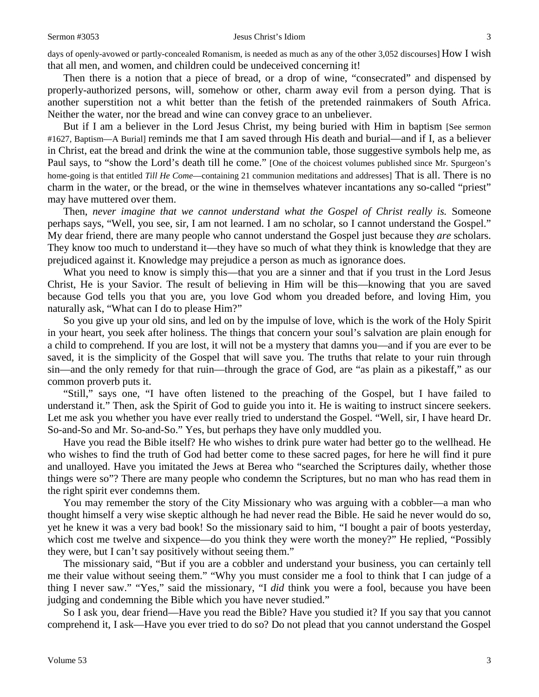Then there is a notion that a piece of bread, or a drop of wine, "consecrated" and dispensed by properly-authorized persons, will, somehow or other, charm away evil from a person dying. That is another superstition not a whit better than the fetish of the pretended rainmakers of South Africa. Neither the water, nor the bread and wine can convey grace to an unbeliever.

But if I am a believer in the Lord Jesus Christ, my being buried with Him in baptism [See sermon #1627, Baptism—A Burial] reminds me that I am saved through His death and burial—and if I, as a believer in Christ, eat the bread and drink the wine at the communion table, those suggestive symbols help me, as Paul says, to "show the Lord's death till he come." [One of the choicest volumes published since Mr. Spurgeon's home-going is that entitled *Till He Come*—containing 21 communion meditations and addresses] That is all. There is no charm in the water, or the bread, or the wine in themselves whatever incantations any so-called "priest" may have muttered over them.

Then, *never imagine that we cannot understand what the Gospel of Christ really is.* Someone perhaps says, "Well, you see, sir, I am not learned. I am no scholar, so I cannot understand the Gospel." My dear friend, there are many people who cannot understand the Gospel just because they *are* scholars. They know too much to understand it—they have so much of what they think is knowledge that they are prejudiced against it. Knowledge may prejudice a person as much as ignorance does.

What you need to know is simply this—that you are a sinner and that if you trust in the Lord Jesus Christ, He is your Savior. The result of believing in Him will be this—knowing that you are saved because God tells you that you are, you love God whom you dreaded before, and loving Him, you naturally ask, "What can I do to please Him?"

So you give up your old sins, and led on by the impulse of love, which is the work of the Holy Spirit in your heart, you seek after holiness. The things that concern your soul's salvation are plain enough for a child to comprehend. If you are lost, it will not be a mystery that damns you—and if you are ever to be saved, it is the simplicity of the Gospel that will save you. The truths that relate to your ruin through sin—and the only remedy for that ruin—through the grace of God, are "as plain as a pikestaff," as our common proverb puts it.

"Still," says one, "I have often listened to the preaching of the Gospel, but I have failed to understand it." Then, ask the Spirit of God to guide you into it. He is waiting to instruct sincere seekers. Let me ask you whether you have ever really tried to understand the Gospel. "Well, sir, I have heard Dr. So-and-So and Mr. So-and-So." Yes, but perhaps they have only muddled you.

Have you read the Bible itself? He who wishes to drink pure water had better go to the wellhead. He who wishes to find the truth of God had better come to these sacred pages, for here he will find it pure and unalloyed. Have you imitated the Jews at Berea who "searched the Scriptures daily, whether those things were so"? There are many people who condemn the Scriptures, but no man who has read them in the right spirit ever condemns them.

You may remember the story of the City Missionary who was arguing with a cobbler—a man who thought himself a very wise skeptic although he had never read the Bible. He said he never would do so, yet he knew it was a very bad book! So the missionary said to him, "I bought a pair of boots yesterday, which cost me twelve and sixpence—do you think they were worth the money?" He replied, "Possibly they were, but I can't say positively without seeing them."

The missionary said, "But if you are a cobbler and understand your business, you can certainly tell me their value without seeing them." "Why you must consider me a fool to think that I can judge of a thing I never saw." "Yes," said the missionary, "I *did* think you were a fool, because you have been judging and condemning the Bible which you have never studied."

So I ask you, dear friend—Have you read the Bible? Have you studied it? If you say that you cannot comprehend it, I ask—Have you ever tried to do so? Do not plead that you cannot understand the Gospel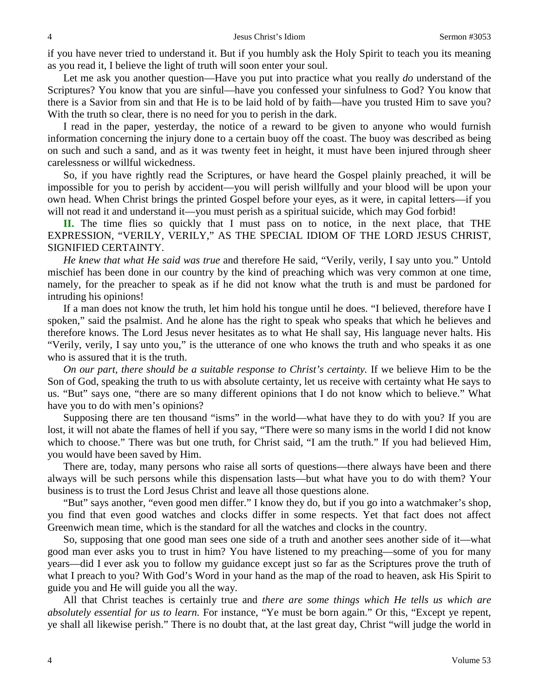if you have never tried to understand it. But if you humbly ask the Holy Spirit to teach you its meaning as you read it, I believe the light of truth will soon enter your soul.

Let me ask you another question—Have you put into practice what you really *do* understand of the Scriptures? You know that you are sinful—have you confessed your sinfulness to God? You know that there is a Savior from sin and that He is to be laid hold of by faith—have you trusted Him to save you? With the truth so clear, there is no need for you to perish in the dark.

I read in the paper, yesterday, the notice of a reward to be given to anyone who would furnish information concerning the injury done to a certain buoy off the coast. The buoy was described as being on such and such a sand, and as it was twenty feet in height, it must have been injured through sheer carelessness or willful wickedness.

So, if you have rightly read the Scriptures, or have heard the Gospel plainly preached, it will be impossible for you to perish by accident—you will perish willfully and your blood will be upon your own head. When Christ brings the printed Gospel before your eyes, as it were, in capital letters—if you will not read it and understand it—you must perish as a spiritual suicide, which may God forbid!

**II.** The time flies so quickly that I must pass on to notice, in the next place, that THE EXPRESSION, "VERILY, VERILY," AS THE SPECIAL IDIOM OF THE LORD JESUS CHRIST, SIGNIFIED CERTAINTY.

*He knew that what He said was true* and therefore He said, "Verily, verily, I say unto you." Untold mischief has been done in our country by the kind of preaching which was very common at one time, namely, for the preacher to speak as if he did not know what the truth is and must be pardoned for intruding his opinions!

If a man does not know the truth, let him hold his tongue until he does. "I believed, therefore have I spoken," said the psalmist. And he alone has the right to speak who speaks that which he believes and therefore knows. The Lord Jesus never hesitates as to what He shall say, His language never halts. His "Verily, verily, I say unto you," is the utterance of one who knows the truth and who speaks it as one who is assured that it is the truth.

*On our part, there should be a suitable response to Christ's certainty.* If we believe Him to be the Son of God, speaking the truth to us with absolute certainty, let us receive with certainty what He says to us. "But" says one, "there are so many different opinions that I do not know which to believe." What have you to do with men's opinions?

Supposing there are ten thousand "isms" in the world—what have they to do with you? If you are lost, it will not abate the flames of hell if you say, "There were so many isms in the world I did not know which to choose." There was but one truth, for Christ said, "I am the truth." If you had believed Him, you would have been saved by Him.

There are, today, many persons who raise all sorts of questions—there always have been and there always will be such persons while this dispensation lasts—but what have you to do with them? Your business is to trust the Lord Jesus Christ and leave all those questions alone.

"But" says another, "even good men differ." I know they do, but if you go into a watchmaker's shop, you find that even good watches and clocks differ in some respects. Yet that fact does not affect Greenwich mean time, which is the standard for all the watches and clocks in the country.

So, supposing that one good man sees one side of a truth and another sees another side of it—what good man ever asks you to trust in him? You have listened to my preaching—some of you for many years—did I ever ask you to follow my guidance except just so far as the Scriptures prove the truth of what I preach to you? With God's Word in your hand as the map of the road to heaven, ask His Spirit to guide you and He will guide you all the way.

All that Christ teaches is certainly true and *there are some things which He tells us which are absolutely essential for us to learn.* For instance, "Ye must be born again." Or this, "Except ye repent, ye shall all likewise perish." There is no doubt that, at the last great day, Christ "will judge the world in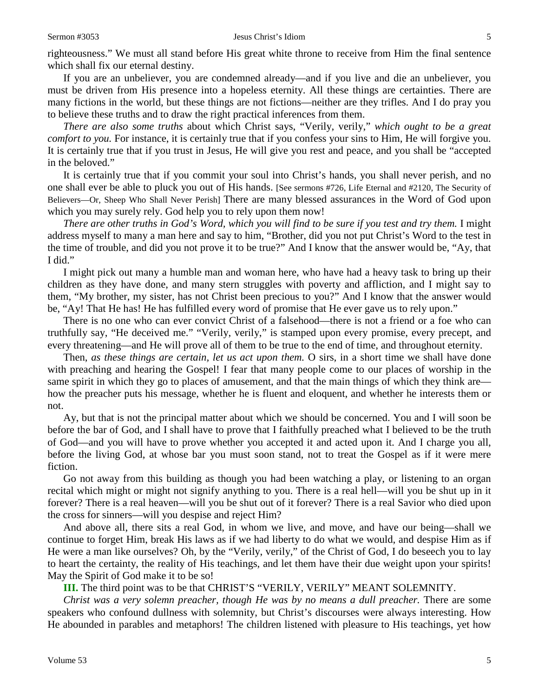righteousness." We must all stand before His great white throne to receive from Him the final sentence which shall fix our eternal destiny.

If you are an unbeliever, you are condemned already—and if you live and die an unbeliever, you must be driven from His presence into a hopeless eternity. All these things are certainties. There are many fictions in the world, but these things are not fictions—neither are they trifles. And I do pray you to believe these truths and to draw the right practical inferences from them.

*There are also some truths* about which Christ says, "Verily, verily," *which ought to be a great comfort to you.* For instance, it is certainly true that if you confess your sins to Him, He will forgive you. It is certainly true that if you trust in Jesus, He will give you rest and peace, and you shall be "accepted in the beloved."

It is certainly true that if you commit your soul into Christ's hands, you shall never perish, and no one shall ever be able to pluck you out of His hands. [See sermons #726, Life Eternal and #2120, The Security of Believers—Or, Sheep Who Shall Never Perish] There are many blessed assurances in the Word of God upon which you may surely rely. God help you to rely upon them now!

*There are other truths in God's Word, which you will find to be sure if you test and try them.* I might address myself to many a man here and say to him, "Brother, did you not put Christ's Word to the test in the time of trouble, and did you not prove it to be true?" And I know that the answer would be, "Ay, that I did."

I might pick out many a humble man and woman here, who have had a heavy task to bring up their children as they have done, and many stern struggles with poverty and affliction, and I might say to them, "My brother, my sister, has not Christ been precious to you?" And I know that the answer would be, "Ay! That He has! He has fulfilled every word of promise that He ever gave us to rely upon."

There is no one who can ever convict Christ of a falsehood—there is not a friend or a foe who can truthfully say, "He deceived me." "Verily, verily," is stamped upon every promise, every precept, and every threatening—and He will prove all of them to be true to the end of time, and throughout eternity.

Then, *as these things are certain, let us act upon them.* O sirs, in a short time we shall have done with preaching and hearing the Gospel! I fear that many people come to our places of worship in the same spirit in which they go to places of amusement, and that the main things of which they think are how the preacher puts his message, whether he is fluent and eloquent, and whether he interests them or not.

Ay, but that is not the principal matter about which we should be concerned. You and I will soon be before the bar of God, and I shall have to prove that I faithfully preached what I believed to be the truth of God—and you will have to prove whether you accepted it and acted upon it. And I charge you all, before the living God, at whose bar you must soon stand, not to treat the Gospel as if it were mere fiction.

Go not away from this building as though you had been watching a play, or listening to an organ recital which might or might not signify anything to you. There is a real hell—will you be shut up in it forever? There is a real heaven—will you be shut out of it forever? There is a real Savior who died upon the cross for sinners—will you despise and reject Him?

And above all, there sits a real God, in whom we live, and move, and have our being—shall we continue to forget Him, break His laws as if we had liberty to do what we would, and despise Him as if He were a man like ourselves? Oh, by the "Verily, verily," of the Christ of God, I do beseech you to lay to heart the certainty, the reality of His teachings, and let them have their due weight upon your spirits! May the Spirit of God make it to be so!

**III.** The third point was to be that CHRIST'S "VERILY, VERILY" MEANT SOLEMNITY.

*Christ was a very solemn preacher, though He was by no means a dull preacher.* There are some speakers who confound dullness with solemnity, but Christ's discourses were always interesting. How He abounded in parables and metaphors! The children listened with pleasure to His teachings, yet how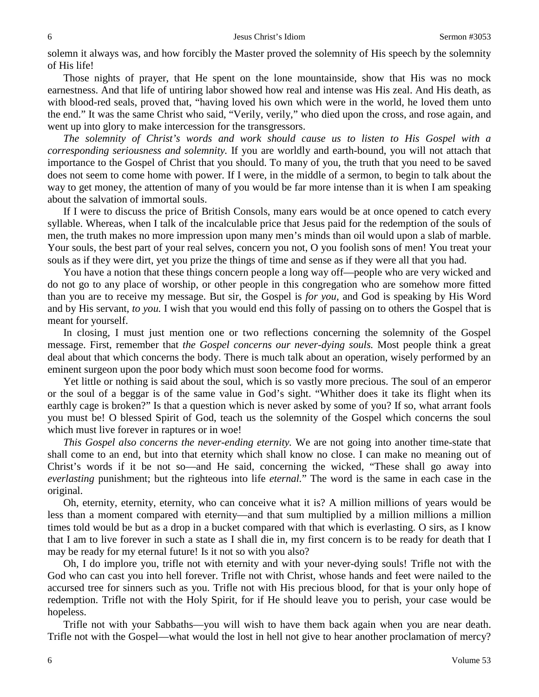solemn it always was, and how forcibly the Master proved the solemnity of His speech by the solemnity of His life!

Those nights of prayer, that He spent on the lone mountainside, show that His was no mock earnestness. And that life of untiring labor showed how real and intense was His zeal. And His death, as with blood-red seals, proved that, "having loved his own which were in the world, he loved them unto the end." It was the same Christ who said, "Verily, verily," who died upon the cross, and rose again, and went up into glory to make intercession for the transgressors.

*The solemnity of Christ's words and work should cause us to listen to His Gospel with a corresponding seriousness and solemnity.* If you are worldly and earth-bound, you will not attach that importance to the Gospel of Christ that you should. To many of you, the truth that you need to be saved does not seem to come home with power. If I were, in the middle of a sermon, to begin to talk about the way to get money, the attention of many of you would be far more intense than it is when I am speaking about the salvation of immortal souls.

If I were to discuss the price of British Consols, many ears would be at once opened to catch every syllable. Whereas, when I talk of the incalculable price that Jesus paid for the redemption of the souls of men, the truth makes no more impression upon many men's minds than oil would upon a slab of marble. Your souls, the best part of your real selves, concern you not, O you foolish sons of men! You treat your souls as if they were dirt, yet you prize the things of time and sense as if they were all that you had.

You have a notion that these things concern people a long way off—people who are very wicked and do not go to any place of worship, or other people in this congregation who are somehow more fitted than you are to receive my message. But sir, the Gospel is *for you,* and God is speaking by His Word and by His servant, *to you.* I wish that you would end this folly of passing on to others the Gospel that is meant for yourself.

In closing, I must just mention one or two reflections concerning the solemnity of the Gospel message. First, remember that *the Gospel concerns our never-dying souls.* Most people think a great deal about that which concerns the body. There is much talk about an operation, wisely performed by an eminent surgeon upon the poor body which must soon become food for worms.

Yet little or nothing is said about the soul, which is so vastly more precious. The soul of an emperor or the soul of a beggar is of the same value in God's sight. "Whither does it take its flight when its earthly cage is broken?" Is that a question which is never asked by some of you? If so, what arrant fools you must be! O blessed Spirit of God, teach us the solemnity of the Gospel which concerns the soul which must live forever in raptures or in woe!

*This Gospel also concerns the never-ending eternity.* We are not going into another time-state that shall come to an end, but into that eternity which shall know no close. I can make no meaning out of Christ's words if it be not so—and He said, concerning the wicked, "These shall go away into *everlasting* punishment; but the righteous into life *eternal.*" The word is the same in each case in the original.

Oh, eternity, eternity, eternity, who can conceive what it is? A million millions of years would be less than a moment compared with eternity—and that sum multiplied by a million millions a million times told would be but as a drop in a bucket compared with that which is everlasting. O sirs, as I know that I am to live forever in such a state as I shall die in, my first concern is to be ready for death that I may be ready for my eternal future! Is it not so with you also?

Oh, I do implore you, trifle not with eternity and with your never-dying souls! Trifle not with the God who can cast you into hell forever. Trifle not with Christ, whose hands and feet were nailed to the accursed tree for sinners such as you. Trifle not with His precious blood, for that is your only hope of redemption. Trifle not with the Holy Spirit, for if He should leave you to perish, your case would be hopeless.

Trifle not with your Sabbaths—you will wish to have them back again when you are near death. Trifle not with the Gospel—what would the lost in hell not give to hear another proclamation of mercy?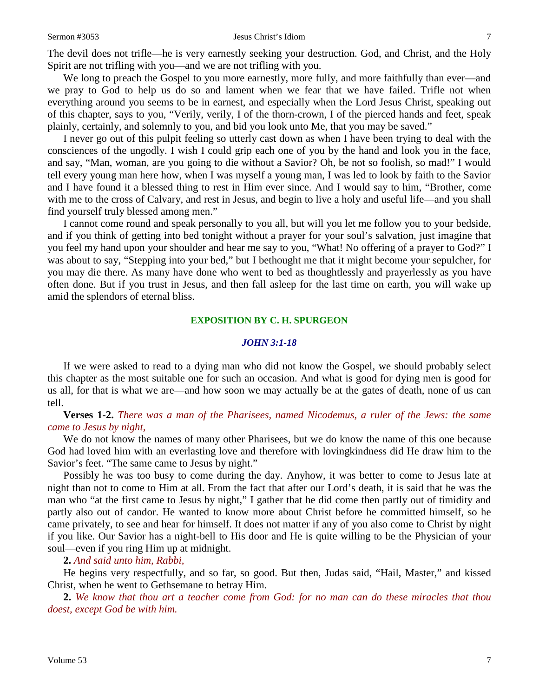We long to preach the Gospel to you more earnestly, more fully, and more faithfully than ever—and we pray to God to help us do so and lament when we fear that we have failed. Trifle not when everything around you seems to be in earnest, and especially when the Lord Jesus Christ, speaking out of this chapter, says to you, "Verily, verily, I of the thorn-crown, I of the pierced hands and feet, speak plainly, certainly, and solemnly to you, and bid you look unto Me, that you may be saved."

I never go out of this pulpit feeling so utterly cast down as when I have been trying to deal with the consciences of the ungodly. I wish I could grip each one of you by the hand and look you in the face, and say, "Man, woman, are you going to die without a Savior? Oh, be not so foolish, so mad!" I would tell every young man here how, when I was myself a young man, I was led to look by faith to the Savior and I have found it a blessed thing to rest in Him ever since. And I would say to him, "Brother, come with me to the cross of Calvary, and rest in Jesus, and begin to live a holy and useful life—and you shall find yourself truly blessed among men."

I cannot come round and speak personally to you all, but will you let me follow you to your bedside, and if you think of getting into bed tonight without a prayer for your soul's salvation, just imagine that you feel my hand upon your shoulder and hear me say to you, "What! No offering of a prayer to God?" I was about to say, "Stepping into your bed," but I bethought me that it might become your sepulcher, for you may die there. As many have done who went to bed as thoughtlessly and prayerlessly as you have often done. But if you trust in Jesus, and then fall asleep for the last time on earth, you will wake up amid the splendors of eternal bliss.

## **EXPOSITION BY C. H. SPURGEON**

## *JOHN 3:1-18*

If we were asked to read to a dying man who did not know the Gospel, we should probably select this chapter as the most suitable one for such an occasion. And what is good for dying men is good for us all, for that is what we are—and how soon we may actually be at the gates of death, none of us can tell.

**Verses 1-2.** *There was a man of the Pharisees, named Nicodemus, a ruler of the Jews: the same came to Jesus by night,*

We do not know the names of many other Pharisees, but we do know the name of this one because God had loved him with an everlasting love and therefore with lovingkindness did He draw him to the Savior's feet. "The same came to Jesus by night."

Possibly he was too busy to come during the day. Anyhow, it was better to come to Jesus late at night than not to come to Him at all. From the fact that after our Lord's death, it is said that he was the man who "at the first came to Jesus by night," I gather that he did come then partly out of timidity and partly also out of candor. He wanted to know more about Christ before he committed himself, so he came privately, to see and hear for himself. It does not matter if any of you also come to Christ by night if you like. Our Savior has a night-bell to His door and He is quite willing to be the Physician of your soul—even if you ring Him up at midnight.

## **2.** *And said unto him, Rabbi,*

He begins very respectfully, and so far, so good. But then, Judas said, "Hail, Master," and kissed Christ, when he went to Gethsemane to betray Him.

**2.** *We know that thou art a teacher come from God: for no man can do these miracles that thou doest, except God be with him.*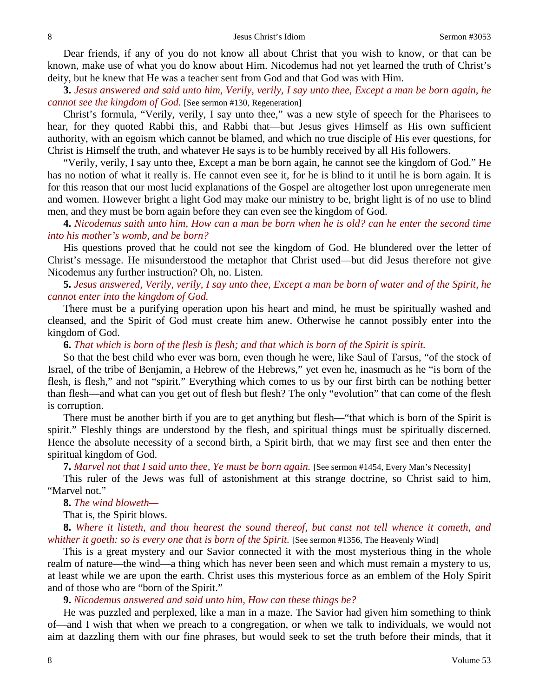Dear friends, if any of you do not know all about Christ that you wish to know, or that can be known, make use of what you do know about Him. Nicodemus had not yet learned the truth of Christ's deity, but he knew that He was a teacher sent from God and that God was with Him.

**3.** *Jesus answered and said unto him, Verily, verily, I say unto thee, Except a man be born again, he cannot see the kingdom of God.* [See sermon #130, Regeneration]

Christ's formula, "Verily, verily, I say unto thee," was a new style of speech for the Pharisees to hear, for they quoted Rabbi this, and Rabbi that—but Jesus gives Himself as His own sufficient authority, with an egoism which cannot be blamed, and which no true disciple of His ever questions, for Christ is Himself the truth, and whatever He says is to be humbly received by all His followers.

"Verily, verily, I say unto thee, Except a man be born again, he cannot see the kingdom of God." He has no notion of what it really is. He cannot even see it, for he is blind to it until he is born again. It is for this reason that our most lucid explanations of the Gospel are altogether lost upon unregenerate men and women. However bright a light God may make our ministry to be, bright light is of no use to blind men, and they must be born again before they can even see the kingdom of God.

**4.** *Nicodemus saith unto him, How can a man be born when he is old? can he enter the second time into his mother's womb, and be born?*

His questions proved that he could not see the kingdom of God. He blundered over the letter of Christ's message. He misunderstood the metaphor that Christ used—but did Jesus therefore not give Nicodemus any further instruction? Oh, no. Listen.

# **5.** *Jesus answered, Verily, verily, I say unto thee, Except a man be born of water and of the Spirit, he cannot enter into the kingdom of God.*

There must be a purifying operation upon his heart and mind, he must be spiritually washed and cleansed, and the Spirit of God must create him anew. Otherwise he cannot possibly enter into the kingdom of God.

**6.** *That which is born of the flesh is flesh; and that which is born of the Spirit is spirit.*

So that the best child who ever was born, even though he were, like Saul of Tarsus, "of the stock of Israel, of the tribe of Benjamin, a Hebrew of the Hebrews," yet even he, inasmuch as he "is born of the flesh, is flesh," and not "spirit." Everything which comes to us by our first birth can be nothing better than flesh—and what can you get out of flesh but flesh? The only "evolution" that can come of the flesh is corruption.

There must be another birth if you are to get anything but flesh—"that which is born of the Spirit is spirit." Fleshly things are understood by the flesh, and spiritual things must be spiritually discerned. Hence the absolute necessity of a second birth, a Spirit birth, that we may first see and then enter the spiritual kingdom of God.

**7.** *Marvel not that I said unto thee, Ye must be born again.* [See sermon #1454, Every Man's Necessity]

This ruler of the Jews was full of astonishment at this strange doctrine, so Christ said to him, "Marvel not."

**8.** *The wind bloweth—*

That is, the Spirit blows.

**8.** *Where it listeth, and thou hearest the sound thereof, but canst not tell whence it cometh, and whither it goeth: so is every one that is born of the Spirit.* [See sermon #1356, The Heavenly Wind]

This is a great mystery and our Savior connected it with the most mysterious thing in the whole realm of nature—the wind—a thing which has never been seen and which must remain a mystery to us, at least while we are upon the earth. Christ uses this mysterious force as an emblem of the Holy Spirit and of those who are "born of the Spirit."

**9.** *Nicodemus answered and said unto him, How can these things be?*

He was puzzled and perplexed, like a man in a maze. The Savior had given him something to think of—and I wish that when we preach to a congregation, or when we talk to individuals, we would not aim at dazzling them with our fine phrases, but would seek to set the truth before their minds, that it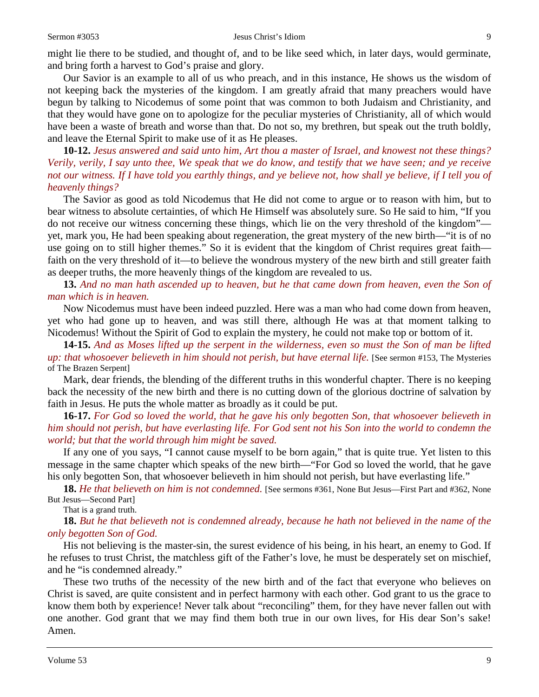might lie there to be studied, and thought of, and to be like seed which, in later days, would germinate, and bring forth a harvest to God's praise and glory.

Our Savior is an example to all of us who preach, and in this instance, He shows us the wisdom of not keeping back the mysteries of the kingdom. I am greatly afraid that many preachers would have begun by talking to Nicodemus of some point that was common to both Judaism and Christianity, and that they would have gone on to apologize for the peculiar mysteries of Christianity, all of which would have been a waste of breath and worse than that. Do not so, my brethren, but speak out the truth boldly, and leave the Eternal Spirit to make use of it as He pleases.

**10-12.** *Jesus answered and said unto him, Art thou a master of Israel, and knowest not these things? Verily, verily, I say unto thee, We speak that we do know, and testify that we have seen; and ye receive not our witness. If I have told you earthly things, and ye believe not, how shall ye believe, if I tell you of heavenly things?*

The Savior as good as told Nicodemus that He did not come to argue or to reason with him, but to bear witness to absolute certainties, of which He Himself was absolutely sure. So He said to him, "If you do not receive our witness concerning these things, which lie on the very threshold of the kingdom" yet, mark you, He had been speaking about regeneration, the great mystery of the new birth—"it is of no use going on to still higher themes." So it is evident that the kingdom of Christ requires great faith faith on the very threshold of it—to believe the wondrous mystery of the new birth and still greater faith as deeper truths, the more heavenly things of the kingdom are revealed to us.

**13.** *And no man hath ascended up to heaven, but he that came down from heaven, even the Son of man which is in heaven.*

Now Nicodemus must have been indeed puzzled. Here was a man who had come down from heaven, yet who had gone up to heaven, and was still there, although He was at that moment talking to Nicodemus! Without the Spirit of God to explain the mystery, he could not make top or bottom of it.

**14-15.** *And as Moses lifted up the serpent in the wilderness, even so must the Son of man be lifted up: that whosoever believeth in him should not perish, but have eternal life.* [See sermon #153, The Mysteries of The Brazen Serpent]

Mark, dear friends, the blending of the different truths in this wonderful chapter. There is no keeping back the necessity of the new birth and there is no cutting down of the glorious doctrine of salvation by faith in Jesus. He puts the whole matter as broadly as it could be put.

**16-17.** *For God so loved the world, that he gave his only begotten Son, that whosoever believeth in him should not perish, but have everlasting life. For God sent not his Son into the world to condemn the world; but that the world through him might be saved.*

If any one of you says, "I cannot cause myself to be born again," that is quite true. Yet listen to this message in the same chapter which speaks of the new birth—"For God so loved the world, that he gave his only begotten Son, that whosoever believeth in him should not perish, but have everlasting life."

**18.** *He that believeth on him is not condemned.* [See sermons #361, None But Jesus—First Part and #362, None But Jesus—Second Part]

That is a grand truth.

**18.** *But he that believeth not is condemned already, because he hath not believed in the name of the only begotten Son of God.*

His not believing is the master-sin, the surest evidence of his being, in his heart, an enemy to God. If he refuses to trust Christ, the matchless gift of the Father's love, he must be desperately set on mischief, and he "is condemned already."

These two truths of the necessity of the new birth and of the fact that everyone who believes on Christ is saved, are quite consistent and in perfect harmony with each other. God grant to us the grace to know them both by experience! Never talk about "reconciling" them, for they have never fallen out with one another. God grant that we may find them both true in our own lives, for His dear Son's sake! Amen.